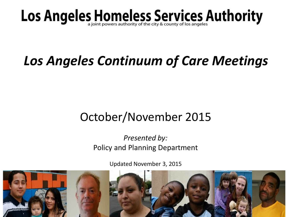# Los Angeles Homeless Services Authority

## *Los Angeles Continuum of Care Meetings*

### October/November 2015

#### *Presented by:* Policy and Planning Department

Updated November 3, 2015

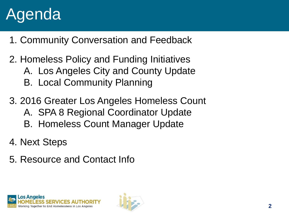## Agenda

- 1. Community Conversation and Feedback
- 2. Homeless Policy and Funding Initiatives A. Los Angeles City and County Update B. Local Community Planning
- 3. 2016 Greater Los Angeles Homeless Count
	- A. SPA 8 Regional Coordinator Update
	- B. Homeless Count Manager Update
- 4. Next Steps
- 5. Resource and Contact Info



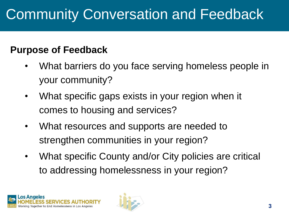## Community Conversation and Feedback

#### **Purpose of Feedback**

- What barriers do you face serving homeless people in your community?
- What specific gaps exists in your region when it comes to housing and services?
- What resources and supports are needed to strengthen communities in your region?
- What specific County and/or City policies are critical to addressing homelessness in your region?



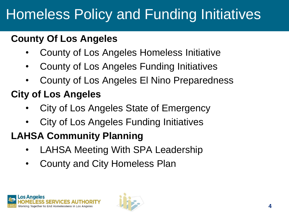## Homeless Policy and Funding Initiatives

#### **County Of Los Angeles**

- County of Los Angeles Homeless Initiative
- County of Los Angeles Funding Initiatives
- County of Los Angeles El Nino Preparedness

### **City of Los Angeles**

- City of Los Angeles State of Emergency
- City of Los Angeles Funding Initiatives

### **LAHSA Community Planning**

- LAHSA Meeting With SPA Leadership
- County and City Homeless Plan



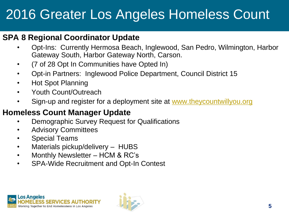### 2016 Greater Los Angeles Homeless Count

#### **SPA 8 Regional Coordinator Update**

- Opt-Ins: Currently Hermosa Beach, Inglewood, San Pedro, Wilmington, Harbor Gateway South, Harbor Gateway North, Carson.
- (7 of 28 Opt In Communities have Opted In)
- Opt-in Partners: Inglewood Police Department, Council District 15
- Hot Spot Planning
- Youth Count/Outreach
- Sign-up and register for a deployment site at [www.theycountwillyou.org](http://www.theycountwillyou.org/)

#### **Homeless Count Manager Update**

- Demographic Survey Request for Qualifications
- Advisory Committees
- Special Teams
- Materials pickup/delivery HUBS
- Monthly Newsletter HCM & RC's
- SPA-Wide Recruitment and Opt-In Contest



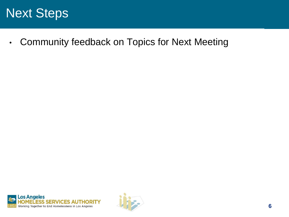### Next Steps

• Community feedback on Topics for Next Meeting

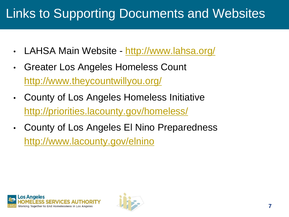### Links to Supporting Documents and Websites

- LAHSA Main Website <http://www.lahsa.org/>
- Greater Los Angeles Homeless Count <http://www.theycountwillyou.org/>
- County of Los Angeles Homeless Initiative <http://priorities.lacounty.gov/homeless/>
- County of Los Angeles El Nino Preparedness <http://www.lacounty.gov/elnino>



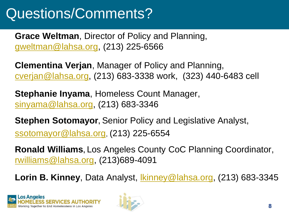## Questions/Comments?

**Grace Weltman**, Director of Policy and Planning, [gweltman@lahsa.org](mailto:gweltman@lahsa.org), (213) 225-6566

**Clementina Verjan**, Manager of Policy and Planning, [cverjan@lahsa.org](mailto:cverjan@lahsa.org), (213) 683-3338 work, (323) 440-6483 cell

**Stephanie Inyama**, Homeless Count Manager, [sinyama@lahsa.org](mailto:sinyama@lahsa.org), (213) 683-3346

**Stephen Sotomayor,** Senior Policy and Legislative Analyst, [ssotomayor@lahsa.org](mailto:sinyama@lahsa.org), (213) 225-6554

**Ronald Williams,** Los Angeles County CoC Planning Coordinator, [rwilliams@lahsa.org,](mailto:rwilliams@lahsa.org) (213)689-4091

**Lorin B. Kinney**, Data Analyst, [lkinney@lahsa.org,](mailto:lkinney@lahsa.org) (213) 683-3345